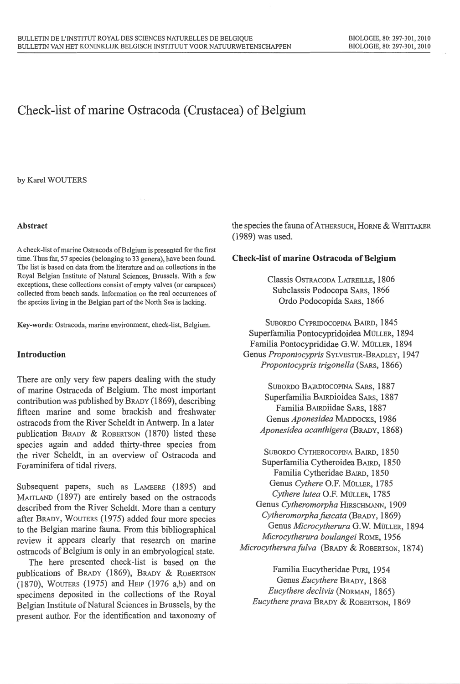# **Check-list of marine Ostracoda (Crustacea) of Belgium**

by Karel WOUTERS

#### **Abstract**

A check-list of marine Ostracoda of Belgium is presented for the first time. Thus far, 57 species (belonging to 33 genera), have been found. The list is based on data from the literature and on collections in the Royal Belgian Institute of Natural Sciences, Brussels. With a few exceptions, these collections consist of empty valves (or carapaces) collected from beach sands. Information on the real occurrences of the species living in the Belgian part of the North Sea is lacking.

Key-words: Ostracoda, marine environment, check-list, Belgium.

# **Introduction**

There are only very few papers dealing with the study of marine Ostracoda of Belgium. The most important contribution was published by BRADY (1869), describing fifteen marine and some brackish and freshwater ostracods from the River Scheidt in Antwerp. In a later publication BRADY & ROBERTSON (1870) listed these species again and added thirty-three species from the river Scheidt, in an overview of Ostracoda and Foraminifera of tidal rivers.

Subsequent papers, such as LAMEERE (1895) and MAITLAND (1897) are entirely based on the ostracods described from the River Scheidt. More than a century after BRADY, WouTERS (1975) added four more species to the Belgian marine fauna. From this bibliographical review it appears clearly that research on marine ostracods of Belgium is only in an embryological state.

The here presented check-list is based on the publications of BRADY (1869), BRADY & RoBERTSON (1870), WOUTERS (1975) and HElP (1976 a,b) and on specimens deposited in the collections of the Royal Belgian Institute of Natural Sciences in Brussels, by the present author. For the identification and taxonomy of

the species the fauna of ATHERSUCH, HORNE & WHITTAKER (1989) was used.

#### **Check-list of marine Ostracoda of Belgium**

Classis OSTRACODA LATREILLE, 1806 Subclassis Podocopa SARs, 1866 Ordo Podocopida SARs, 1866

SUBORDO CYPRIDOCOPINA BAIRD, 1845 Superfamilia Pontocypridoidea MOLLER, 1894 Familia Pontocyprididae G.W. MÜLLER, 1894 Genus *Propontocypris* SYLVESTER-BRADLEY, 1947 *Propontocypris trigonella* (SARs, 1866)

SUBORDO BAIRDIOCOPINA SARS, 1887 Superfamilia BAJRDioidea SARS, 1887 Familia BAIRDiidae SARs, 1887 Genus *Aponesidea* MADDOCKS, 1986 *Aponesidea acanthigera* (BRADY, 1868)

SUBORDO CYTHEROCOPINA BAIRD, 1850 Superfamilia Cytheroidea BAIRD, 1850 Familia Cytheridae BAIRD, 1850 Genus *Cythere* O.F. MOLLER, 1785 *Cythere lutea* O.F. MOLLER, 1785 Genus *Cytheromorpha* HIRSCHMANN, 1909 *Cytheromorpha fitscata* (BRADY, 1869) Genus *Microcytherura* G.W. MOLLER, 1894 *Microcytherura boulangei* RoME, 1956 *Microcytherurafu/va* (BRADY & ROBERTSON, 1874)

Familia Eucytheridae PuRI, 1954 Genus *Eucythere* BRADY, 1868 *Eucythere declivis* (NoRMAN, 1865) *Eucythere prava* BRADY & ROBERTSON, 1869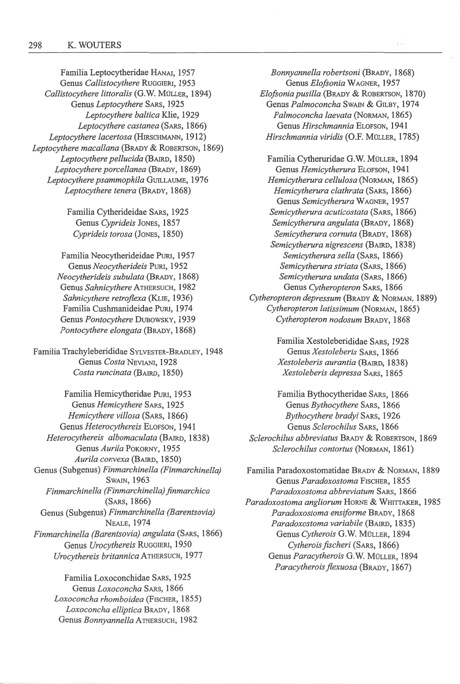Familia Leptocytheridae HANAI, 1957 Genus *Callistocythere* RuGGIERI, 1953 *Callistocythere littoralis* (G.W. MOLLER, 1894) Genus *Leptocythere* SARS, 1925 *Leptocythere baltica* Klie, 1929 *Leptocythere castanea* (SARS, 1866) *Leptocythere lacertosa* (HIRSCHMANN, 1912) *Leptocythere macallana* (BRADY & ROBERTSON, 1869) *Leptocythere pellucida* (BAIRD, 1850) *Leptocythere porcellanea* (BRADY, 1869) *Leptocythere psammophila* GUlLLAUME, 1976 *Leptocythere tenera* (BRADY, 1868)

> Familia Cytherideidae SARS, 1925 Genus *Cyprideis* JoNES, 1857 *Cyprideis torosa* (JoNES, 1850)

Familia Neocytherideidae PuRJ, 1957 Genus *Neocytherideis* PURl, 1952 *Neocytherideis subulata* (BRADY, 1868) Genus *Sahnicy there* ATHERSUCH, 1982 *Sahnicythere retroflexa* (KLIE, 1936) Familia Cushmanideidae PuRI, 1974 Genus *Pontocythere* DUBOWSKY, 1939 *Pontocythere elongata* (BRADY, 1868)

Familia Trachyleberididae SYLVESTER-BRADLEY, 1948 Genus *Costa* NEVIANI, 1928 *Costa runcinata* (BArRD, 1850)

Familia Hemicytheridae PURJ, 1953 Genus *Hemicythere* SARs, 1925 *Hemicythere villosa* (SARS, 1866) Genus *Heterocythereis* ELOFSON, 1941 *Heterocythereis albomaculata* (BAIRD, 1838) Genus *Aurila* PoKORNY, 1955 *Aurila convexa* (BAIRD, 1850) Genus (Subgenus) *Finmarchinella (Finmarchinella)*  **SWAIN, 1963** *Finmarchinella (Finmarchinella) finmarchica*  (SARS, 1866) Genus (Subgenus) *Finmarchinella (Barentsovia)*  NEALE, 1974 *Finmarchinella (Barentsovia) angulata* (SARS, 1866) Genus *Urocythereis* Ruggieri, 1950 *Urocythereis britannica* ATHERSUCH, 1977

> Familia Loxoconchidae SARS, 1925 Genus *Loxoconcha* SARS, 1866 *Loxoconcha rhomboidea* (FISCHER, 1855) *Loxoconcha elliptica* BRADY, 1868 Genus *Bonnyannella* ATHERSUCH, 1982

*Bonnyannella robertsoni* (BRADY, 1868) Genus *Elofsonia* WAGNER, 1957 *Efojsonia pusil!a* (BRADY & ROBERTSON, 1870) Genus *Palmoconcha* SwAIN & GrLBY, 1974 *Palmoconcha laevata* (NoRMAN, 1865) Genus *Hirschmannia* ELOFSON, 1941 *Hirschmannia viridis* (O.F. MOLLER, 1785)

Familia Cytheruridae G.W. MÜLLER, 1894 Genus *Hemicytherura* ELOFSON, 1941 *Hemicytherura cellulosa* (NoRMAN, 1865) *Hemicy therura clathrata* (SARS , 1866) Genus *Semicytherura* WAGNER, 1957 *Semicy therura acuticostata* (SARS, 1866) *Semicytherura angulata* (BRADY, 1868) *Semicytherura cornuta* (BRADY, 1868) *Semicytherura nigrescens* (BAIRD, 1838) *Semicytherura sella* (SARS, 1866) *Semicy therura striata* (SARS, 1866) *Semicytherura undata* (SARS, 1866) Genus *Cy theropteron* SARs, 1866 *Cytheropteron depressum* (BRADY & NORMAN, 1889) *Cytheropteron latissimum* (NoRMAN, 1865) *Cytheropteron nodosum* BRADY, 1868

> Familia Xestoleberididae SARS, 1928 Genus *Xestoleberis* SARS, 1866 *Xestoleberis aurantia* (BAIRD, 1838) *Xestoleberis depressa* SARS, 1865

Familia Bythocytheridae SARs, 1866 Genus *Bythocythere* SARS, 1866 *Bythocythere bradyi* SARS, 1926 Genus *Sclerochilus* SARs, 1866 *Sclerochilus abbreviatus* BRADY & RoBERTSON, 1869 *Sclerochilus contortus* (NoRMAN, 1861)

Familia Paradoxostomatidae BRADY & NoRMAN, 1889 Genus *Paradoxostoma* FISCHER, 1855 *Paradoxostoma abbreviatum* SARS, 1866 *Paradoxostoma angliorum* HoRNE & WHITTAKER, 1985 *Paradoxostoma ensiforme* BRADY, 1868 *Paradoxostoma variabile* (BAIRD, 1835) Genus *Cytherois* G.W. MOLLER, 1894 *Cytherois fischeri* (SARS, 1866) Genus *Paracytherois* G.W. MULLER, 1894 *Paracytheroisflexuosa* (BRADY, 1867)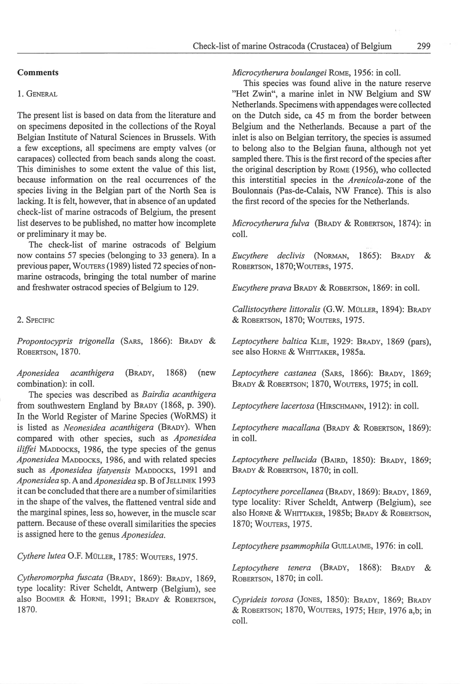#### **Comments**

#### 1. GENERAL

The present list is based on data from the literature and on specimens deposited in the collections of the Royal Belgian Institute of Natural Sciences in Brussels. With a few exceptions, all specimens are empty valves (or carapaces) collected from beach sands along the coast. This diminishes to some extent the value of this list, because information on the real occurrences of the species living in the Belgian part of the North Sea is lacking. It is felt, however, that in absence of an updated check-list of marine ostracods of Belgium, the present list deserves to be published, no matter how incomplete or preliminary it may be.

The check-list of marine ostracods of Belgium now contains 57 species (belonging to 33 genera). In a previous paper, WouTERS (1989) listed 72 species of nonmarine ostracods, bringing the total number of marine and freshwater ostracod species of Belgium to 129.

# 2. SPECIFIC

*Propontocypris trigonella* (SARS, 1866): BRADY & ROBERTSON, 1870.

*Aponesidea acanthigera* (BRADY, 1868) (new combination): in coll.

The species was described as *Bairdia acanthigera*  from southwestern England by BRADY (1868, p. 390). In the World Register of Marine Species (WoRMS) it is listed as *Neonesidea acanthigera* (BRADY). When compared with other species, such as *Aponesidea iliffei* MADDOCKS, 1986, the type species of the genus *Aponesidea* MADDOCKS, 1986, and with related species such as *Aponesidea ifatyensis* MADDOCKS, 1991 and Aponesidea sp. A and Aponesidea sp. B of JELLINEK 1993 it can be concluded that there are a number of similarities in the shape of the valves, the flattened ventral side and the marginal spines, less so, however, in the muscle scar pattern. Because of these overall similarities the species is assigned here to the genus *Aponesidea.* 

Cythere lutea O.F. MÜLLER, 1785: WOUTERS, 1975.

*Cytheromorpha fuscata* (BRADY, 1869): BRADY, 1869, type locality: River Scheidt, Antwerp (Belgium), see also BOOMER & HORNE, 1991; BRADY & ROBERTSON. 1870.

## *Microcytherura boulangei* RoME, 1956: in coil.

This species was found alive in the nature reserve "Het Zwin", a marine inlet in NW Belgium and SW Netherlands. Specimens with appendages were collected on the Dutch side, ca 45 m from the border between Belgium and the Netherlands. Because a part of the inlet is also on Belgian territory, the species is assumed to belong also to the Belgian fauna, although not yet sampled there. This is the first record of the species after the original description by RoME (1956), who collected this interstitial species in the *Arenicola-zone* of the Boulonnais (Pas-de-Calais, NW France). This is also the first record of the species for the Netherlands.

*Microcytherura fulva* (BRADY & ROBERTSON, 1874); in coli.

*Eucythere declivis* (NoRMAN, 1865): BRADY & ROBERTSON, 1870;WoUTERS, 1975.

*Eucythere prava* BRADY & ROBERTSON, 1869: in coil.

Callistocythere littoralis (G.W. MÜLLER, 1894): BRADY & RoBERTSON, 1870; WouTERs, 1975.

*Leptocythere baltica* KL1E, 1929: BRADY, 1869 (pars), see also HORNE & WHITTAKER, 1985a.

*Leptocythere castanea* (SARs, 1866): BRADY, 1869; BRADY & ROBERTSON; 1870, WOUTERS, 1975; in coll.

*Leptocythere lacertosa* (HIRSCHMANN, 1912): in coli.

Leptocythere macallana (BRADY & ROBERTSON, 1869): in coli.

*Leptocythere pellucida* (BAJRD, 1850): BRADY, 1869; BRADY & ROBERTSON, 1870; in coll.

*Leptocythere porcellanea* (BRADY, 1869): BRADY, 1869, type locality: River Scheidt, Antwerp (Belgium), see also HORNE & WHITTAKER, 1985b; BRADY & ROBERTSON, 1870; WOUTERS, 1975.

Leptocythere psammophila GUILLAUME, 1976: in coll.

*Leptocythere tenera* (BRADY, 1868): BRADY & RoBERTSON, 1870; in coli.

*Cyprideis torosa* (JoNES, 1850): BRADY, 1869; BRADY & RoBERTSON; 1870, WoUTERS, 1975; HErr, 1976 a,b; in coli.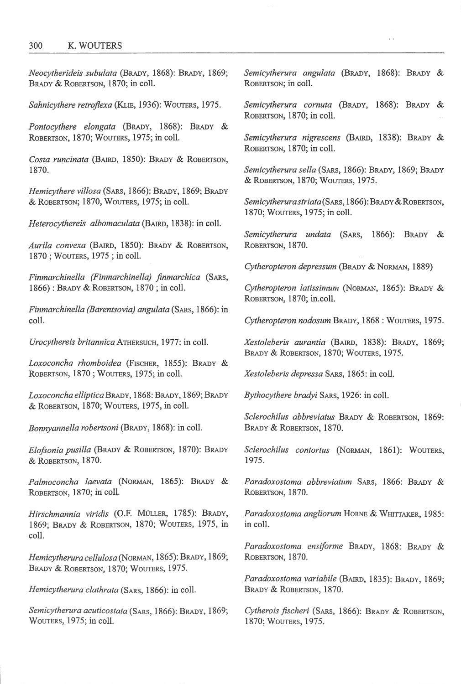*Neocytherideis subulata* (BRADY, 1868): BRADY, 1869; BRADY & ROBERTSON, 1870; in coll.

*Sahnicythere retroflexa* (KLIE, 1936): WOUTERS, 1975.

*Pontocythere elongata* (BRADY, 1868): BRADY & ROBERTSON, 1870; WOUTERS, 1975; in coll.

*Costa runcinata* (BAIRD, 1850): BRADY & RoBERTSON, 1870.

*Hemicythere villosa* (SARs, 1866): BRADY, 1869; BRADY & ROBERTSON; 1870, WOUTERS, 1975; in coiL

*Heterocythereis albomaculata* (BAIRD, 1838): in coiL

*Aurila convexa* (BArRD, 1850): BRADY & RoBERTSON, 1870; WOUTERS, 1975; in coll.

*Finmarchinella (Finmarchinella) finmarchica* (SARs, 1866): BRADY & RoBERTSON, 1870; in coil.

*Finmarchinella (Barentsovia) angulata* (SARs, 1866): in coiL

*Urocythereis britannica* ATHERSUCH, 1977: in coil.

*Loxoconcha rhomboidea* (FISCHER, 1855): BRADY & ROBERTSON, 1870; WOUTERS, 1975; in coll.

*Loxoconcha elliptica* BRADY, 1868: BRADY, 1869; BRADY & RoBERTSON, 1870; WouTERS, 1975, in coil.

*Bonnyannella robertsoni* (BRADY, 1868): in coiL

*Elofsonia pusil/a* (BRADY & ROBERTSON, 1870): BRADY & ROBERTSON, 1870.

*Palmoconcha laevata* (NoRMAN, 1865): BRADY & ROBERTSON, 1870; in coil.

*Hirschmannia viridis* (O.F. MuLLER, 1785): BRADY, 1869; BRADY & RoBERTSON, 1870; WouTERS, 1975, in coli.

*Hemicytherura cellulosa* (NoRMAN, 1865): BRADY, 1869; BRADY & ROBERTSON, 1870; WOUTERS, 1975.

*Hemicytherura clathrata* (SARS, 1866): in coli.

*Semicytherura acuticostata* (SARS, 1866): BRADY, 1869; WouTERS, 1975; in coli.

*Semicy therura angulata* (BRADY, 1868): BRADY & ROBERTSON: in coll.

I I

*Semicytherura cornuta* (BRADY, 1868): BRADY & ROBERTSON, 1870; in coll.

*Semicytherura nigrescens* (BAIRD, 1838): BRADY & ROBERTSON, 1870; in coiL

*Semicytherura sella* (SARs, 1866): BRADY, 1869; BRADY & RoBERTSON, 1870; WouTERS, 1975.

*Semicytherura striata* (SARS, 1866): BRADY & ROBERTSON, 1870; WOUTERS, 1975; in coll.

*Semicytherura undata* (SARs, 1866): BRADY & RoBERTSON, 1870.

*Cytheropteron depressum* (BRADY & NoRMAN, 1889)

*Cytheropteron latissimum* (NoRMAN, 1865): BRADY & RoBERTSON, 1870; in.colL

*Cytheropteron nodosum* BRADY, 1868: WouTERS, 1975.

*Xestoleberis aurantia* (BArRD, 1838): BRADY, 1869; BRADY & ROBERTSON, 1870; WOUTERS, 1975.

*Xestoleberis depressa* SARs, 1865: in coil.

*Bythocythere bradyi* SARs, 1926: in coiL

*Sclerochilus abbreviatus* BRADY & RoBERTSON, 1869: BRADY & ROBERTSON, 1870.

*Sclerochilus contortus* (NoRMAN, 1861): WouTERS, 1975.

*Paradoxostoma abbreviatum* SARS, 1866: BRADY & ROBERTSON, 1870.

*Paradoxostoma angliorum* HoRNE & WHITTAKER, 1985: in coll.

*Paradoxostoma ensiforme* BRADY, 1868: BRADY & ROBERTSON, 1870.

*Paradoxostoma variabile* (BAIRD, 1835): BRADY, 1869; BRADY & ROBERTSON, 1870.

*Cytherois fischeri* (SARS, 1866): BRADY & RoBERTSON, 1870; WOUTERS, 1975.